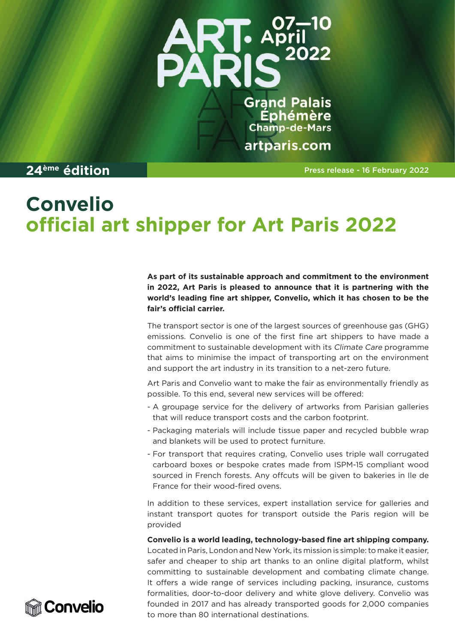

**Grand Palais Éphémère Champ-de-Mars** artparis.com

## **24ème édition**

Press release - 16 February 2022

# **Convelio official art shipper for Art Paris 2022**

**As part of its sustainable approach and commitment to the environment in 2022, Art Paris is pleased to announce that it is partnering with the**  world's leading fine art shipper, Convelio, which it has chosen to be the fair's official carrier.

The transport sector is one of the largest sources of greenhouse gas (GHG) emissions. Convelio is one of the first fine art shippers to have made a commitment to sustainable development with its Climate Care programme that aims to minimise the impact of transporting art on the environment and support the art industry in its transition to a net-zero future.

Art Paris and Convelio want to make the fair as environmentally friendly as possible. To this end, several new services will be offered:

- A groupage service for the delivery of artworks from Parisian galleries that will reduce transport costs and the carbon footprint.
- Packaging materials will include tissue paper and recycled bubble wrap and blankets will be used to protect furniture.
- For transport that requires crating, Convelio uses triple wall corrugated carboard boxes or bespoke crates made from ISPM-15 compliant wood sourced in French forests. Any offcuts will be given to bakeries in Ile de France for their wood-fired ovens.

In addition to these services, expert installation service for galleries and instant transport quotes for transport outside the Paris region will be provided

Convelio is a world leading, technology-based fine art shipping company. Located in Paris, London and New York, its mission is simple: to make it easier, safer and cheaper to ship art thanks to an online digital platform, whilst committing to sustainable development and combating climate change. It offers a wide range of services including packing, insurance, customs formalities, door-to-door delivery and white glove delivery. Convelio was founded in 2017 and has already transported goods for 2,000 companies to more than 80 international destinations.